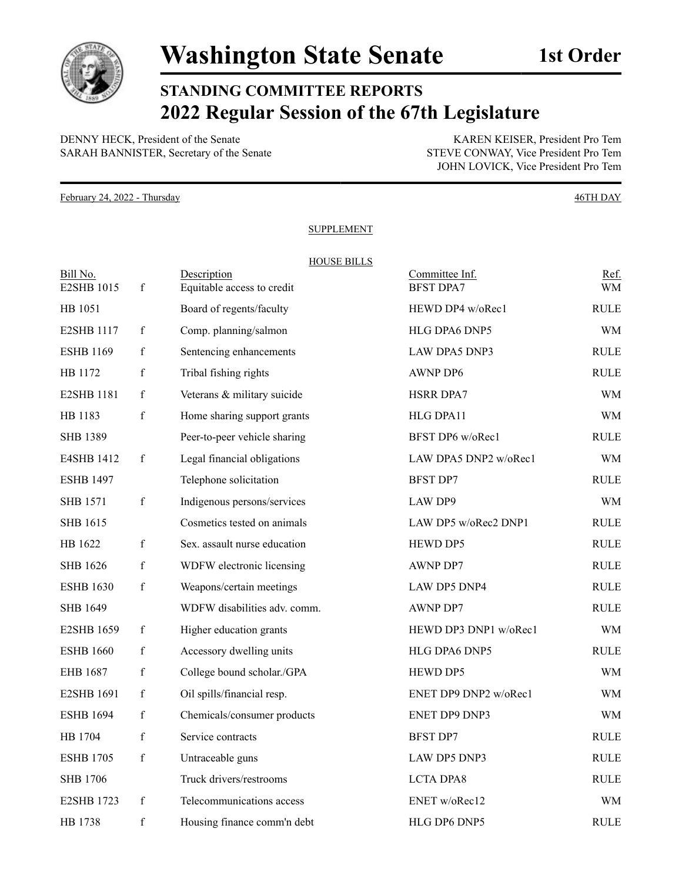

**STANDING COMMITTEE REPORTS 2022 Regular Session of the 67th Legislature**

DENNY HECK, President of the Senate<br>
SARAH BANNISTER, Secretary of the Senate<br>
STEVE CONWAY, Vice President Pro Tem SARAH BANNISTER, Secretary of the Senate

JOHN LOVICK, Vice President Pro Tem

February 24, 2022 - Thursday 46TH DAY

## **SUPPLEMENT**

| Bill No.          |              | <b>HOUSE BILLS</b><br>Description | Committee Inf.        | Ref.        |
|-------------------|--------------|-----------------------------------|-----------------------|-------------|
| E2SHB 1015        | $\mathbf{f}$ | Equitable access to credit        | <b>BFST DPA7</b>      | <b>WM</b>   |
| HB 1051           |              | Board of regents/faculty          | HEWD DP4 w/oRec1      | <b>RULE</b> |
| <b>E2SHB 1117</b> | f            | Comp. planning/salmon             | HLG DPA6 DNP5         | WM          |
| <b>ESHB 1169</b>  | f            | Sentencing enhancements           | <b>LAW DPA5 DNP3</b>  | <b>RULE</b> |
| HB 1172           | $\mathbf{f}$ | Tribal fishing rights             | <b>AWNP DP6</b>       | <b>RULE</b> |
| <b>E2SHB 1181</b> | f            | Veterans & military suicide       | HSRR DPA7             | <b>WM</b>   |
| HB 1183           | $\mathbf f$  | Home sharing support grants       | HLG DPA11             | WM          |
| <b>SHB 1389</b>   |              | Peer-to-peer vehicle sharing      | BFST DP6 w/oRec1      | <b>RULE</b> |
| E4SHB 1412        | f            | Legal financial obligations       | LAW DPA5 DNP2 w/oRec1 | WM          |
| <b>ESHB 1497</b>  |              | Telephone solicitation            | <b>BFST DP7</b>       | <b>RULE</b> |
| <b>SHB 1571</b>   | $\mathbf f$  | Indigenous persons/services       | LAW DP9               | <b>WM</b>   |
| SHB 1615          |              | Cosmetics tested on animals       | LAW DP5 w/oRec2 DNP1  | <b>RULE</b> |
| HB 1622           | $\mathbf f$  | Sex. assault nurse education      | HEWD DP5              | <b>RULE</b> |
| SHB 1626          | f            | WDFW electronic licensing         | <b>AWNP DP7</b>       | <b>RULE</b> |
| <b>ESHB 1630</b>  | $\mathbf{f}$ | Weapons/certain meetings          | <b>LAW DP5 DNP4</b>   | <b>RULE</b> |
| <b>SHB 1649</b>   |              | WDFW disabilities adv. comm.      | <b>AWNP DP7</b>       | <b>RULE</b> |
| <b>E2SHB 1659</b> | $\mathbf f$  | Higher education grants           | HEWD DP3 DNP1 w/oRec1 | WM          |
| <b>ESHB 1660</b>  | $\mathbf f$  | Accessory dwelling units          | HLG DPA6 DNP5         | <b>RULE</b> |
| EHB 1687          | f            | College bound scholar./GPA        | <b>HEWD DP5</b>       | WM          |
| <b>E2SHB 1691</b> | $\mathbf{f}$ | Oil spills/financial resp.        | ENET DP9 DNP2 w/oRec1 | <b>WM</b>   |
| <b>ESHB 1694</b>  | f            | Chemicals/consumer products       | <b>ENET DP9 DNP3</b>  | <b>WM</b>   |
| HB 1704           | $\mathbf{f}$ | Service contracts                 | <b>BFST DP7</b>       | <b>RULE</b> |
| <b>ESHB</b> 1705  | f            | Untraceable guns                  | LAW DP5 DNP3          | <b>RULE</b> |
| <b>SHB</b> 1706   |              | Truck drivers/restrooms           | <b>LCTA DPA8</b>      | <b>RULE</b> |
| <b>E2SHB 1723</b> | $\mathbf f$  | Telecommunications access         | ENET w/oRec12         | <b>WM</b>   |
| HB 1738           | $\mathbf f$  | Housing finance comm'n debt       | HLG DP6 DNP5          | <b>RULE</b> |